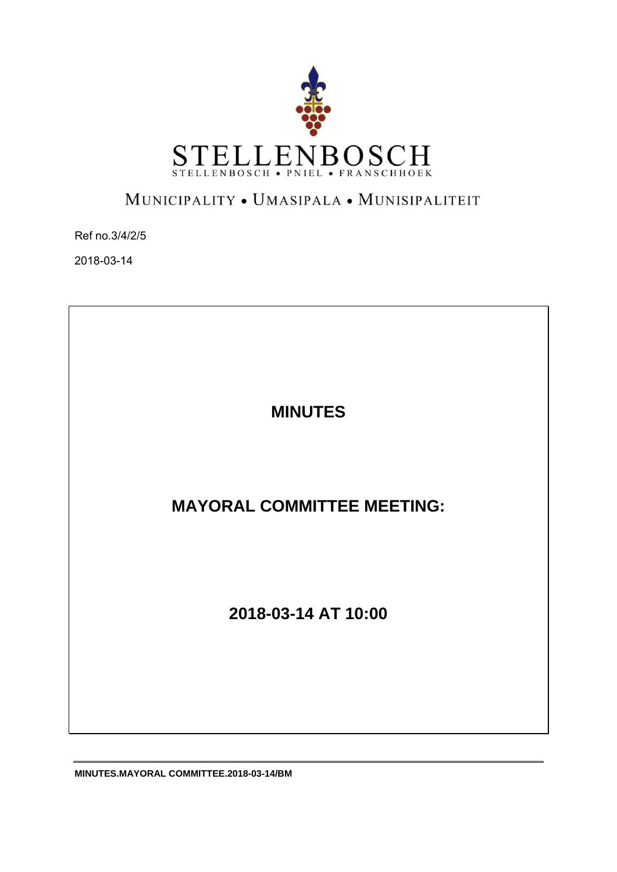

# MUNICIPALITY . UMASIPALA . MUNISIPALITEIT

Ref no.3/4/2/5

2018-03-14

**MINUTES** 

**MAYORAL COMMITTEE MEETING:** 

**2018-03-14 AT 10:00** 

**MINUTES.MAYORAL COMMITTEE.2018-03-14/BM**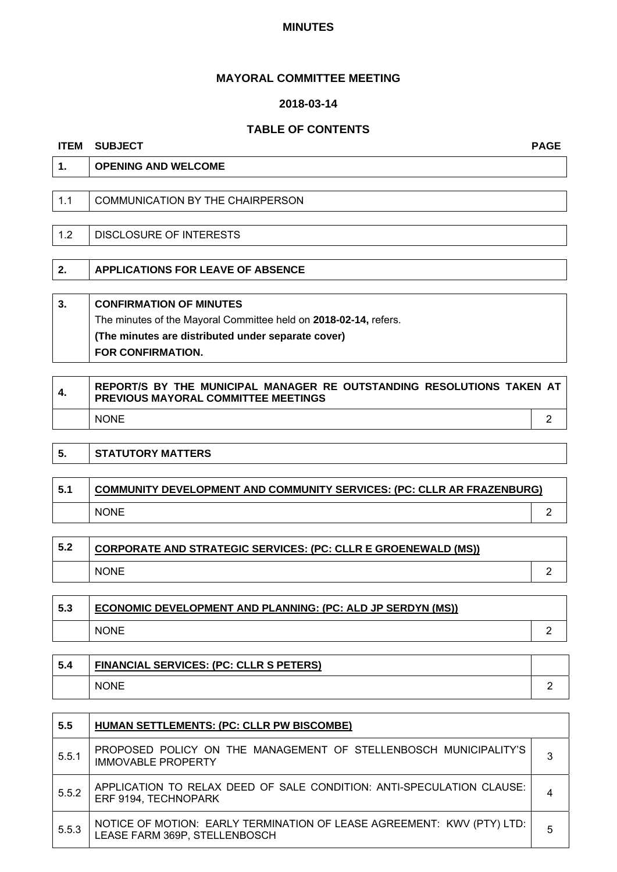#### **MINUTES**

# **MAYORAL COMMITTEE MEETING**

# **2018-03-14**

# **TABLE OF CONTENTS**

#### **ITEM SUBJECT PAGE**

| 1.  | <b>OPENING AND WELCOME</b>       |
|-----|----------------------------------|
|     |                                  |
| 1.1 | COMMUNICATION BY THE CHAIRPERSON |
|     |                                  |
| 1.2 | DISCLOSURE OF INTERESTS          |
|     |                                  |

**2. APPLICATIONS FOR LEAVE OF ABSENCE** 

**3. CONFIRMATION OF MINUTES**  The minutes of the Mayoral Committee held on **2018-02-14,** refers. **(The minutes are distributed under separate cover) FOR CONFIRMATION.** 

| 4. | REPORT/S BY THE MUNICIPAL MANAGER RE OUTSTANDING RESOLUTIONS TAKEN AT<br><b>PREVIOUS MAYORAL COMMITTEE MEETINGS</b> |  |
|----|---------------------------------------------------------------------------------------------------------------------|--|
|    | <b>NONE</b>                                                                                                         |  |

| 5.  | <b>STATUTORY MATTERS</b>                                                      |  |
|-----|-------------------------------------------------------------------------------|--|
|     |                                                                               |  |
| 5.1 | <b>COMMUNITY DEVELOPMENT AND COMMUNITY SERVICES: (PC: CLLR AR FRAZENBURG)</b> |  |
|     | <b>NONE</b>                                                                   |  |

| 5.2 | <b>CORPORATE AND STRATEGIC SERVICES: (PC: CLLR E GROENEWALD (MS))</b> |  |
|-----|-----------------------------------------------------------------------|--|
|     | <b>NONE</b>                                                           |  |

| 5.3 | <b>ECONOMIC DEVELOPMENT AND PLANNING: (PC: ALD JP SERDYN (MS))</b> |  |
|-----|--------------------------------------------------------------------|--|
|     | <b>NONE</b>                                                        |  |
|     |                                                                    |  |

| 5.4 | <b>FINANCIAL SERVICES: (PC: CLLR S PETERS)</b> |  |
|-----|------------------------------------------------|--|
|     | <b>NONE</b>                                    |  |

| 5.5   | <b>HUMAN SETTLEMENTS: (PC: CLLR PW BISCOMBE)</b>                                                        |   |
|-------|---------------------------------------------------------------------------------------------------------|---|
| 5.5.1 | PROPOSED POLICY ON THE MANAGEMENT OF STELLENBOSCH MUNICIPALITY'S<br><b>IMMOVABLE PROPERTY</b>           |   |
| 5.5.2 | APPLICATION TO RELAX DEED OF SALE CONDITION: ANTI-SPECULATION CLAUSE:<br>ERF 9194, TECHNOPARK           |   |
| 5.5.3 | NOTICE OF MOTION: EARLY TERMINATION OF LEASE AGREEMENT: KWV (PTY) LTD:<br>LEASE FARM 369P, STELLENBOSCH | 5 |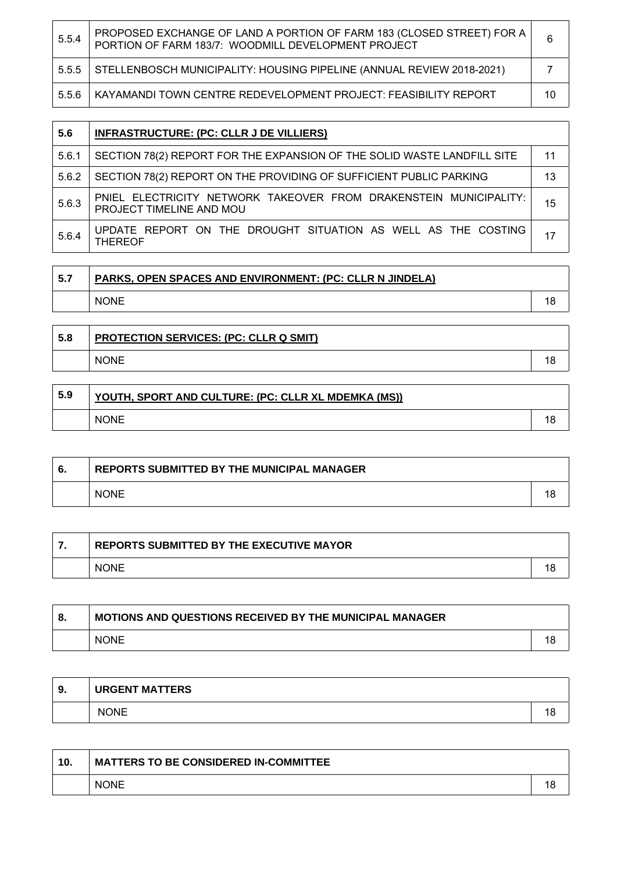| 5.5.4 | PROPOSED EXCHANGE OF LAND A PORTION OF FARM 183 (CLOSED STREET) FOR A<br>PORTION OF FARM 183/7: WOODMILL DEVELOPMENT PROJECT | 6  |
|-------|------------------------------------------------------------------------------------------------------------------------------|----|
| 5.5.5 | STELLENBOSCH MUNICIPALITY: HOUSING PIPELINE (ANNUAL REVIEW 2018-2021)                                                        |    |
| 5.5.6 | KAYAMANDI TOWN CENTRE REDEVELOPMENT PROJECT: FEASIBILITY REPORT                                                              | 10 |

| 5.6   | <b>INFRASTRUCTURE: (PC: CLLR J DE VILLIERS)</b>                                               |    |
|-------|-----------------------------------------------------------------------------------------------|----|
| 5.6.1 | SECTION 78(2) REPORT FOR THE EXPANSION OF THE SOLID WASTE LANDFILL SITE                       | 11 |
| 5.6.2 | SECTION 78(2) REPORT ON THE PROVIDING OF SUFFICIENT PUBLIC PARKING                            | 13 |
| 5.6.3 | PNIEL ELECTRICITY NETWORK TAKEOVER FROM DRAKENSTEIN MUNICIPALITY:<br>PROJECT TIMELINE AND MOU | 15 |
| 5.6.4 | UPDATE REPORT ON THE DROUGHT SITUATION AS WELL AS THE COSTING<br><b>THEREOF</b>               |    |

| $-5.7$ | PARKS, OPEN SPACES AND ENVIRONMENT: (PC: CLLR N JINDELA) |  |
|--------|----------------------------------------------------------|--|
|        | <b>NONE</b>                                              |  |

| 5.8 | <b>PROTECTION SERVICES: (PC: CLLR Q SMIT)</b> |  |
|-----|-----------------------------------------------|--|
|     | <b>NONE</b>                                   |  |

÷

| 5.9 | YOUTH, SPORT AND CULTURE: (PC: CLLR XL MDEMKA (MS)) |  |
|-----|-----------------------------------------------------|--|
|     | <b>NONE</b>                                         |  |

| <b>REPORTS SUBMITTED BY THE MUNICIPAL MANAGER</b> |  |
|---------------------------------------------------|--|
| <b>NONE</b>                                       |  |

| <b>REPORTS SUBMITTED BY THE EXECUTIVE MAYOR</b> |  |
|-------------------------------------------------|--|
| <b>NONE</b>                                     |  |

| -8. | <b>MOTIONS AND QUESTIONS RECEIVED BY THE MUNICIPAL MANAGER</b> |  |
|-----|----------------------------------------------------------------|--|
|     | <b>NONE</b>                                                    |  |

| 9. | <b>URGENT MATTERS</b> |    |
|----|-----------------------|----|
|    | <b>NONE</b>           | ıс |

| 10. | <b>MATTERS TO BE CONSIDERED IN-COMMITTEE</b> |  |
|-----|----------------------------------------------|--|
|     | <b>NONE</b>                                  |  |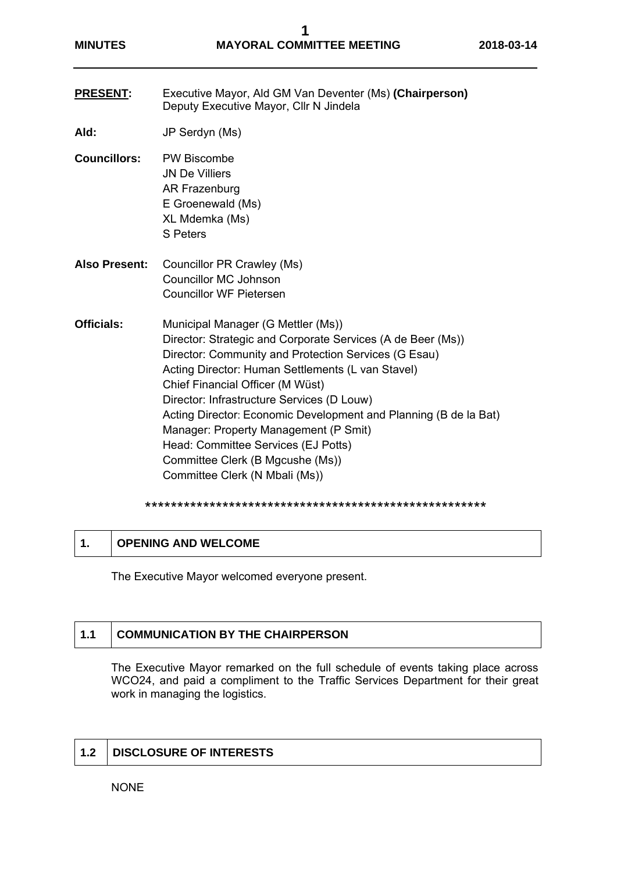- **PRESENT:** Executive Mayor, Ald GM Van Deventer (Ms) **(Chairperson)**  Deputy Executive Mayor, Cllr N Jindela
- **Ald:** JP Serdyn (Ms)
- **Councillors:** PW Biscombe JN De Villiers AR Frazenburg E Groenewald (Ms) XL Mdemka (Ms) S Peters
- **Also Present:** Councillor PR Crawley (Ms) Councillor MC Johnson Councillor WF Pietersen
- **Officials:** Municipal Manager (G Mettler (Ms)) Director: Strategic and Corporate Services (A de Beer (Ms)) Director: Community and Protection Services (G Esau) Acting Director: Human Settlements (L van Stavel) Chief Financial Officer (M Wüst) Director: Infrastructure Services (D Louw) Acting Director: Economic Development and Planning (B de la Bat) Manager: Property Management (P Smit) Head: Committee Services (EJ Potts) Committee Clerk (B Mgcushe (Ms)) Committee Clerk (N Mbali (Ms))

#### \*\*\*\*\*\*\*\*\*\*\*\*\*\*\*\*\*\*\*\*\*\*\*\*\*\*\*\*\*\*\*\*\*\*\*\*\*\*\*\*\*\*\*\*\*\*\*\*\*\*\*\*\*

|  | <b>OPENING AND WELCOME</b> |  |
|--|----------------------------|--|
|--|----------------------------|--|

The Executive Mayor welcomed everyone present.

# **1.1 COMMUNICATION BY THE CHAIRPERSON**

The Executive Mayor remarked on the full schedule of events taking place across WCO24, and paid a compliment to the Traffic Services Department for their great work in managing the logistics.

# **1.2 DISCLOSURE OF INTERESTS**

NONE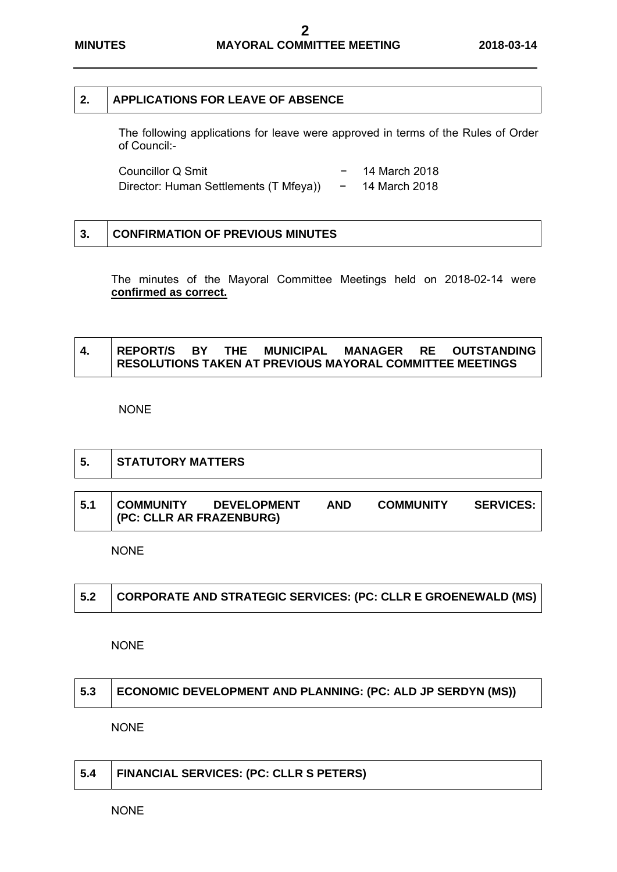# **2. APPLICATIONS FOR LEAVE OF ABSENCE**

The following applications for leave were approved in terms of the Rules of Order of Council:-

| Councillor Q Smit                      | 14 March 2018 |
|----------------------------------------|---------------|
| Director: Human Settlements (T Mfeya)) | 14 March 2018 |

| 3. | <b>CONFIRMATION OF PREVIOUS MINUTES</b> |
|----|-----------------------------------------|
|    |                                         |

The minutes of the Mayoral Committee Meetings held on 2018-02-14 were **confirmed as correct.** 

|  |  | REPORT/S BY THE MUNICIPAL                                       |  | <b>MANAGER RE OUTSTANDING</b> |
|--|--|-----------------------------------------------------------------|--|-------------------------------|
|  |  | <b>RESOLUTIONS TAKEN AT PREVIOUS MAYORAL COMMITTEE MEETINGS</b> |  |                               |

NONE

| Ⅰ5. | STATUTORY MATTERS |
|-----|-------------------|
|     |                   |

| 5.1 | <b>COMMUNITY</b>             | <b>DEVELOPMENT</b> | <b>AND</b> | <b>COMMUNITY</b> | <b>SERVICES:</b> |
|-----|------------------------------|--------------------|------------|------------------|------------------|
|     | $ $ (PC: CLLR AR FRAZENBURG) |                    |            |                  |                  |

NONE

|  | $\mid$ 5.2 $\mid$ CORPORATE AND STRATEGIC SERVICES: (PC: CLLR E GROENEWALD (MS) |
|--|---------------------------------------------------------------------------------|
|--|---------------------------------------------------------------------------------|

NONE

| 5.3 ECONOMIC DEVELOPMENT AND PLANNING: (PC: ALD JP SERDYN (MS)) |
|-----------------------------------------------------------------|
|                                                                 |

NONE

| FINANCIAL SERVICES: (PC: CLLR S PETERS)<br>5.4 |
|------------------------------------------------|
|------------------------------------------------|

NONE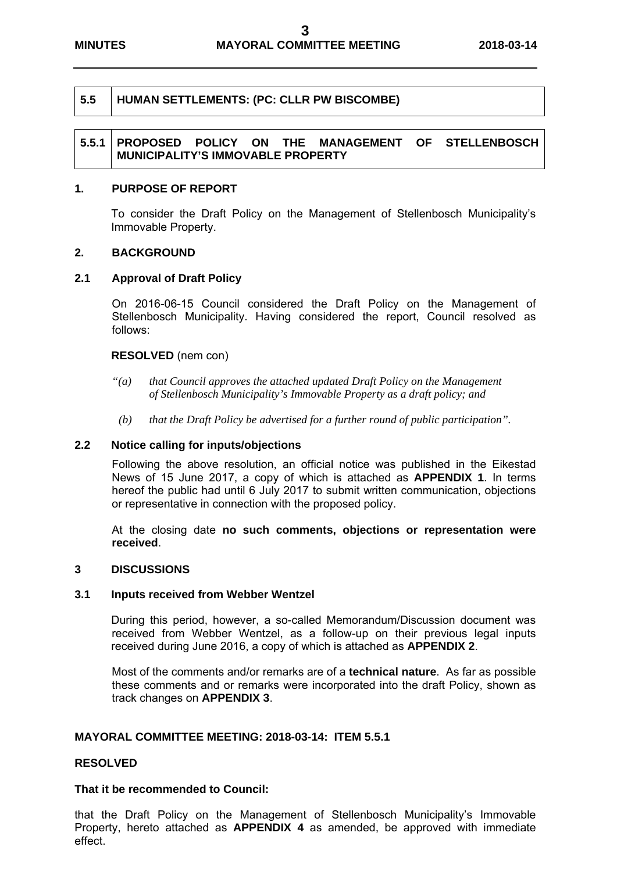# **5.5 HUMAN SETTLEMENTS: (PC: CLLR PW BISCOMBE)**

# **5.5.1 PROPOSED POLICY ON THE MANAGEMENT OF STELLENBOSCH MUNICIPALITY'S IMMOVABLE PROPERTY**

### **1. PURPOSE OF REPORT**

To consider the Draft Policy on the Management of Stellenbosch Municipality's Immovable Property.

#### **2. BACKGROUND**

### **2.1 Approval of Draft Policy**

On 2016-06-15 Council considered the Draft Policy on the Management of Stellenbosch Municipality. Having considered the report, Council resolved as follows:

#### **RESOLVED** (nem con)

- *"(a) that Council approves the attached updated Draft Policy on the Management of Stellenbosch Municipality's Immovable Property as a draft policy; and*
- *(b) that the Draft Policy be advertised for a further round of public participation".*

#### **2.2 Notice calling for inputs/objections**

 Following the above resolution, an official notice was published in the Eikestad News of 15 June 2017, a copy of which is attached as **APPENDIX 1**. In terms hereof the public had until 6 July 2017 to submit written communication, objections or representative in connection with the proposed policy.

 At the closing date **no such comments, objections or representation were received**.

### **3 DISCUSSIONS**

#### **3.1 Inputs received from Webber Wentzel**

 During this period, however, a so-called Memorandum/Discussion document was received from Webber Wentzel, as a follow-up on their previous legal inputs received during June 2016, a copy of which is attached as **APPENDIX 2**.

 Most of the comments and/or remarks are of a **technical nature**. As far as possible these comments and or remarks were incorporated into the draft Policy, shown as track changes on **APPENDIX 3**.

#### **MAYORAL COMMITTEE MEETING: 2018-03-14: ITEM 5.5.1**

#### **RESOLVED**

#### **That it be recommended to Council:**

that the Draft Policy on the Management of Stellenbosch Municipality's Immovable Property, hereto attached as **APPENDIX 4** as amended, be approved with immediate effect.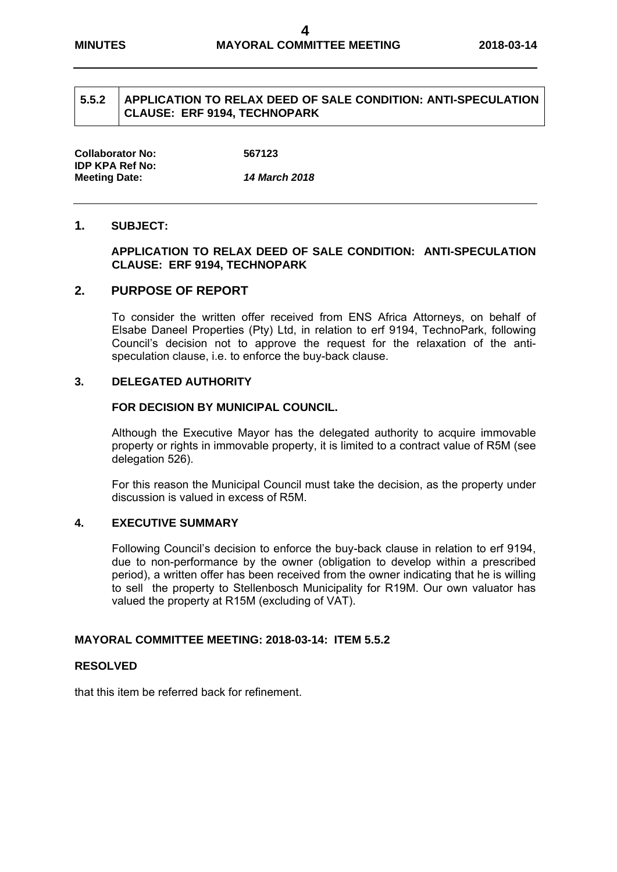# **5.5.2 APPLICATION TO RELAX DEED OF SALE CONDITION: ANTI-SPECULATION CLAUSE: ERF 9194, TECHNOPARK**

**Collaborator No: 567123 IDP KPA Ref No: Meeting Date:** *14 March 2018*

#### **1. SUBJECT:**

### **APPLICATION TO RELAX DEED OF SALE CONDITION: ANTI-SPECULATION CLAUSE: ERF 9194, TECHNOPARK**

# **2. PURPOSE OF REPORT**

To consider the written offer received from ENS Africa Attorneys, on behalf of Elsabe Daneel Properties (Pty) Ltd, in relation to erf 9194, TechnoPark, following Council's decision not to approve the request for the relaxation of the antispeculation clause, i.e. to enforce the buy-back clause.

### **3. DELEGATED AUTHORITY**

#### **FOR DECISION BY MUNICIPAL COUNCIL.**

Although the Executive Mayor has the delegated authority to acquire immovable property or rights in immovable property, it is limited to a contract value of R5M (see delegation 526).

For this reason the Municipal Council must take the decision, as the property under discussion is valued in excess of R5M.

# **4. EXECUTIVE SUMMARY**

Following Council's decision to enforce the buy-back clause in relation to erf 9194, due to non-performance by the owner (obligation to develop within a prescribed period), a written offer has been received from the owner indicating that he is willing to sell the property to Stellenbosch Municipality for R19M. Our own valuator has valued the property at R15M (excluding of VAT).

## **MAYORAL COMMITTEE MEETING: 2018-03-14: ITEM 5.5.2**

#### **RESOLVED**

that this item be referred back for refinement.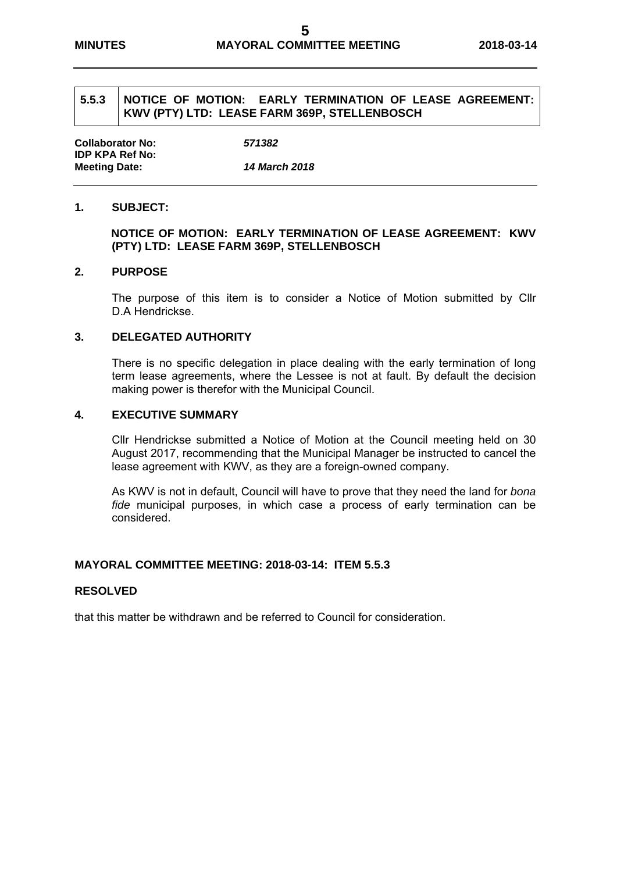# **5.5.3 NOTICE OF MOTION: EARLY TERMINATION OF LEASE AGREEMENT: KWV (PTY) LTD: LEASE FARM 369P, STELLENBOSCH**

**Collaborator No:** *571382* **IDP KPA Ref No: Meeting Date:** *14 March 2018* 

# **1. SUBJECT:**

# **NOTICE OF MOTION: EARLY TERMINATION OF LEASE AGREEMENT: KWV (PTY) LTD: LEASE FARM 369P, STELLENBOSCH**

#### **2. PURPOSE**

The purpose of this item is to consider a Notice of Motion submitted by Cllr D.A Hendrickse.

#### **3. DELEGATED AUTHORITY**

There is no specific delegation in place dealing with the early termination of long term lease agreements, where the Lessee is not at fault. By default the decision making power is therefor with the Municipal Council.

### **4. EXECUTIVE SUMMARY**

Cllr Hendrickse submitted a Notice of Motion at the Council meeting held on 30 August 2017, recommending that the Municipal Manager be instructed to cancel the lease agreement with KWV, as they are a foreign-owned company.

As KWV is not in default, Council will have to prove that they need the land for *bona fide* municipal purposes, in which case a process of early termination can be considered.

## **MAYORAL COMMITTEE MEETING: 2018-03-14: ITEM 5.5.3**

#### **RESOLVED**

that this matter be withdrawn and be referred to Council for consideration.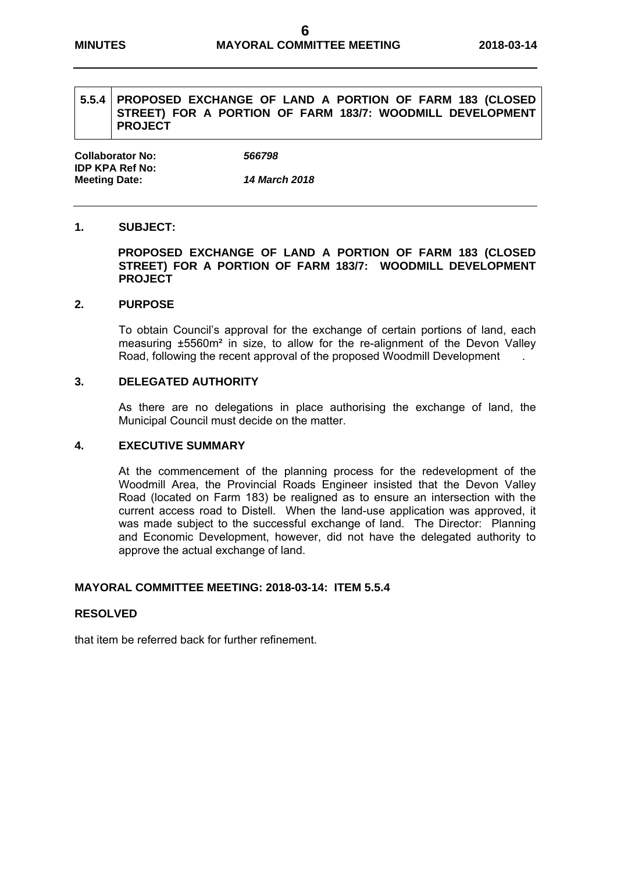# **5.5.4 PROPOSED EXCHANGE OF LAND A PORTION OF FARM 183 (CLOSED STREET) FOR A PORTION OF FARM 183/7: WOODMILL DEVELOPMENT PROJECT**

**Collaborator No:** *566798* **IDP KPA Ref No: Meeting Date:** *14 March 2018* 

# **1. SUBJECT:**

**PROPOSED EXCHANGE OF LAND A PORTION OF FARM 183 (CLOSED STREET) FOR A PORTION OF FARM 183/7: WOODMILL DEVELOPMENT PROJECT** 

#### **2. PURPOSE**

To obtain Council's approval for the exchange of certain portions of land, each measuring ±5560m² in size, to allow for the re-alignment of the Devon Valley Road, following the recent approval of the proposed Woodmill Development .

### **3. DELEGATED AUTHORITY**

As there are no delegations in place authorising the exchange of land, the Municipal Council must decide on the matter.

#### **4. EXECUTIVE SUMMARY**

At the commencement of the planning process for the redevelopment of the Woodmill Area, the Provincial Roads Engineer insisted that the Devon Valley Road (located on Farm 183) be realigned as to ensure an intersection with the current access road to Distell. When the land-use application was approved, it was made subject to the successful exchange of land. The Director: Planning and Economic Development, however, did not have the delegated authority to approve the actual exchange of land.

#### **MAYORAL COMMITTEE MEETING: 2018-03-14: ITEM 5.5.4**

#### **RESOLVED**

that item be referred back for further refinement.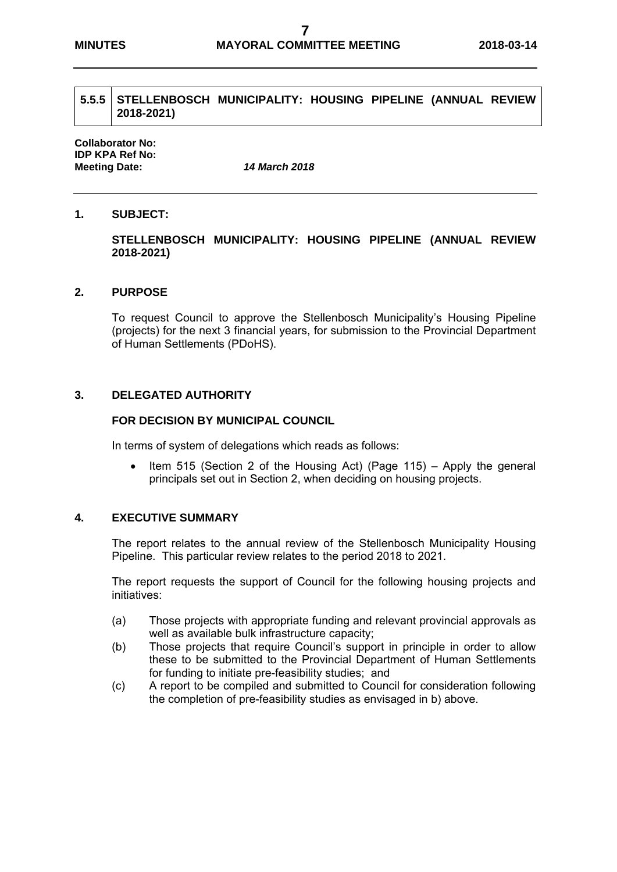### **5.5.5 STELLENBOSCH MUNICIPALITY: HOUSING PIPELINE (ANNUAL REVIEW 2018-2021)**

**Collaborator No: IDP KPA Ref No: Meeting Date:** *14 March 2018*

# **1. SUBJECT:**

# **STELLENBOSCH MUNICIPALITY: HOUSING PIPELINE (ANNUAL REVIEW 2018-2021)**

#### **2. PURPOSE**

To request Council to approve the Stellenbosch Municipality's Housing Pipeline (projects) for the next 3 financial years, for submission to the Provincial Department of Human Settlements (PDoHS).

# **3. DELEGATED AUTHORITY**

#### **FOR DECISION BY MUNICIPAL COUNCIL**

In terms of system of delegations which reads as follows:

 $\bullet$  Item 515 (Section 2 of the Housing Act) (Page 115) – Apply the general principals set out in Section 2, when deciding on housing projects.

#### **4. EXECUTIVE SUMMARY**

The report relates to the annual review of the Stellenbosch Municipality Housing Pipeline. This particular review relates to the period 2018 to 2021.

The report requests the support of Council for the following housing projects and initiatives:

- (a) Those projects with appropriate funding and relevant provincial approvals as well as available bulk infrastructure capacity;
- (b) Those projects that require Council's support in principle in order to allow these to be submitted to the Provincial Department of Human Settlements for funding to initiate pre-feasibility studies; and
- (c) A report to be compiled and submitted to Council for consideration following the completion of pre-feasibility studies as envisaged in b) above.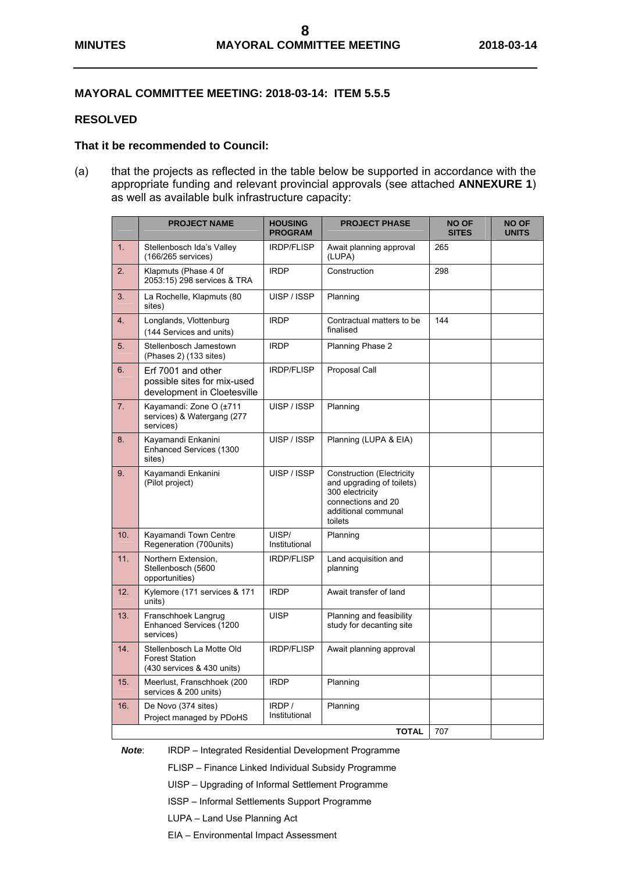# **MAYORAL COMMITTEE MEETING: 2018-03-14: ITEM 5.5.5**

### **RESOLVED**

#### **That it be recommended to Council:**

(a) that the projects as reflected in the table below be supported in accordance with the appropriate funding and relevant provincial approvals (see attached **ANNEXURE 1**) as well as available bulk infrastructure capacity:

|     | <b>PROJECT NAME</b>                                                              | <b>HOUSING</b><br><b>PROGRAM</b> | <b>PROJECT PHASE</b>                                                                                                                     | <b>NO OF</b><br><b>SITES</b> | <b>NO OF</b><br><b>UNITS</b> |
|-----|----------------------------------------------------------------------------------|----------------------------------|------------------------------------------------------------------------------------------------------------------------------------------|------------------------------|------------------------------|
| 1.  | Stellenbosch Ida's Valley<br>(166/265 services)                                  | <b>IRDP/FLISP</b>                | Await planning approval<br>(LUPA)                                                                                                        | 265                          |                              |
| 2.  | Klapmuts (Phase 4 0f<br>2053:15) 298 services & TRA                              | <b>IRDP</b>                      | Construction                                                                                                                             | 298                          |                              |
| 3.  | La Rochelle, Klapmuts (80<br>sites)                                              | UISP / ISSP                      | Planning                                                                                                                                 |                              |                              |
| 4.  | Longlands, Vlottenburg<br>(144 Services and units)                               | <b>IRDP</b>                      | Contractual matters to be<br>finalised                                                                                                   | 144                          |                              |
| 5.  | Stellenbosch Jamestown<br>(Phases 2) (133 sites)                                 | <b>IRDP</b>                      | Planning Phase 2                                                                                                                         |                              |                              |
| 6.  | Erf 7001 and other<br>possible sites for mix-used<br>development in Cloetesville | <b>IRDP/FLISP</b>                | Proposal Call                                                                                                                            |                              |                              |
| 7.  | Kayamandi: Zone O (±711<br>services) & Watergang (277<br>services)               | UISP / ISSP                      | Planning                                                                                                                                 |                              |                              |
| 8.  | Kayamandi Enkanini<br>Enhanced Services (1300<br>sites)                          | UISP / ISSP                      | Planning (LUPA & EIA)                                                                                                                    |                              |                              |
| 9.  | Kayamandi Enkanini<br>(Pilot project)                                            | UISP / ISSP                      | <b>Construction (Electricity</b><br>and upgrading of toilets)<br>300 electricity<br>connections and 20<br>additional communal<br>toilets |                              |                              |
| 10. | Kayamandi Town Centre<br>Regeneration (700units)                                 | UISP/<br>Institutional           | Planning                                                                                                                                 |                              |                              |
| 11. | Northern Extension,<br>Stellenbosch (5600<br>opportunities)                      | <b>IRDP/FLISP</b>                | Land acquisition and<br>planning                                                                                                         |                              |                              |
| 12. | Kylemore (171 services & 171<br>units)                                           | <b>IRDP</b>                      | Await transfer of land                                                                                                                   |                              |                              |
| 13. | Franschhoek Langrug<br>Enhanced Services (1200<br>services)                      | <b>UISP</b>                      | Planning and feasibility<br>study for decanting site                                                                                     |                              |                              |
| 14. | Stellenbosch La Motte Old<br><b>Forest Station</b><br>(430 services & 430 units) | <b>IRDP/FLISP</b>                | Await planning approval                                                                                                                  |                              |                              |
| 15. | Meerlust, Franschhoek (200<br>services & 200 units)                              | <b>IRDP</b>                      | Planning                                                                                                                                 |                              |                              |
| 16. | De Novo (374 sites)<br>Project managed by PDoHS                                  | IRDP /<br>Institutional          | Planning                                                                                                                                 |                              |                              |
|     |                                                                                  |                                  | <b>TOTAL</b>                                                                                                                             | 707                          |                              |

*Note*: IRDP – Integrated Residential Development Programme

FLISP – Finance Linked Individual Subsidy Programme

UISP – Upgrading of Informal Settlement Programme

ISSP – Informal Settlements Support Programme

LUPA – Land Use Planning Act

EIA – Environmental Impact Assessment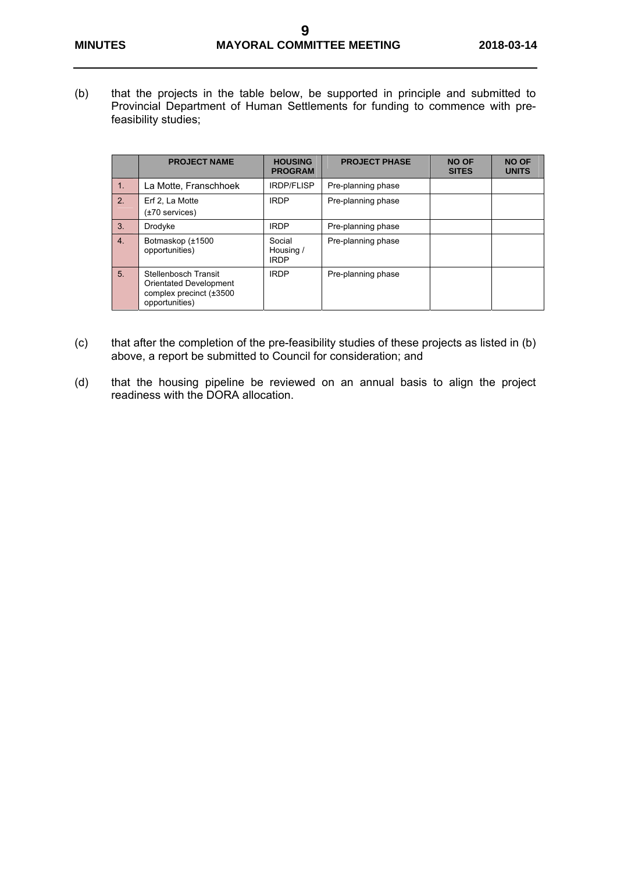(b) that the projects in the table below, be supported in principle and submitted to Provincial Department of Human Settlements for funding to commence with prefeasibility studies;

|                  | <b>PROJECT NAME</b>                                                                         | <b>HOUSING</b><br><b>PROGRAM</b>   | <b>PROJECT PHASE</b> | <b>NO OF</b><br><b>SITES</b> | <b>NO OF</b><br><b>UNITS</b> |
|------------------|---------------------------------------------------------------------------------------------|------------------------------------|----------------------|------------------------------|------------------------------|
| $\overline{1}$ . | La Motte, Franschhoek                                                                       | <b>IRDP/FLISP</b>                  | Pre-planning phase   |                              |                              |
| 2.               | Erf 2, La Motte<br>$(\pm 70$ services)                                                      | <b>IRDP</b>                        | Pre-planning phase   |                              |                              |
| 3.               | Drodyke                                                                                     | <b>IRDP</b>                        | Pre-planning phase   |                              |                              |
| 4.               | Botmaskop (±1500<br>opportunities)                                                          | Social<br>Housing /<br><b>IRDP</b> | Pre-planning phase   |                              |                              |
| 5.               | Stellenbosch Transit<br>Orientated Development<br>complex precinct (±3500<br>opportunities) | <b>IRDP</b>                        | Pre-planning phase   |                              |                              |

- (c) that after the completion of the pre-feasibility studies of these projects as listed in (b) above, a report be submitted to Council for consideration; and
- (d) that the housing pipeline be reviewed on an annual basis to align the project readiness with the DORA allocation.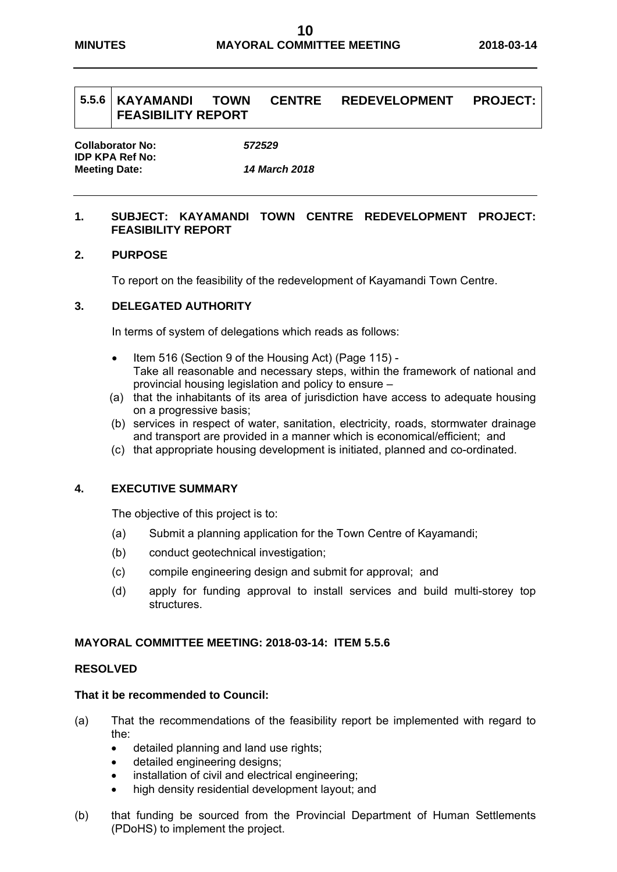# **5.5.6 KAYAMANDI TOWN CENTRE REDEVELOPMENT PROJECT: FEASIBILITY REPORT**

**Collaborator No:** *572529* **IDP KPA Ref No: Meeting Date:** *14 March 2018* 

# **1. SUBJECT: KAYAMANDI TOWN CENTRE REDEVELOPMENT PROJECT: FEASIBILITY REPORT**

# **2. PURPOSE**

To report on the feasibility of the redevelopment of Kayamandi Town Centre.

# **3. DELEGATED AUTHORITY**

In terms of system of delegations which reads as follows:

- Item 516 (Section 9 of the Housing Act) (Page 115) Take all reasonable and necessary steps, within the framework of national and provincial housing legislation and policy to ensure –
- (a) that the inhabitants of its area of jurisdiction have access to adequate housing on a progressive basis;
- (b) services in respect of water, sanitation, electricity, roads, stormwater drainage and transport are provided in a manner which is economical/efficient; and
- (c) that appropriate housing development is initiated, planned and co-ordinated.

# **4. EXECUTIVE SUMMARY**

The objective of this project is to:

- (a) Submit a planning application for the Town Centre of Kayamandi;
- (b) conduct geotechnical investigation;
- (c) compile engineering design and submit for approval; and
- (d) apply for funding approval to install services and build multi-storey top structures.

#### **MAYORAL COMMITTEE MEETING: 2018-03-14: ITEM 5.5.6**

#### **RESOLVED**

- (a) That the recommendations of the feasibility report be implemented with regard to the:
	- detailed planning and land use rights;
	- detailed engineering designs;
	- installation of civil and electrical engineering;
	- high density residential development layout; and
- (b) that funding be sourced from the Provincial Department of Human Settlements (PDoHS) to implement the project.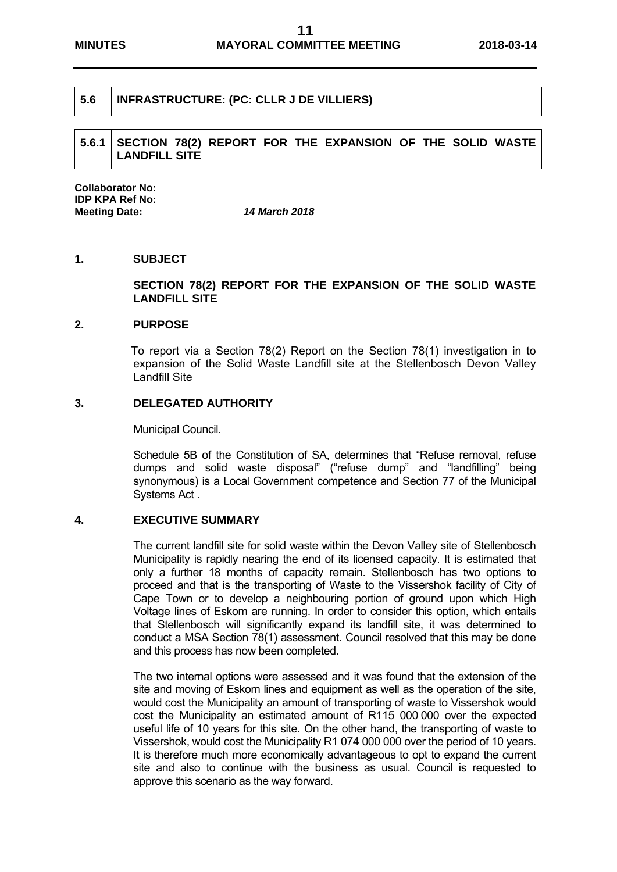# **5.6 INFRASTRUCTURE: (PC: CLLR J DE VILLIERS)**

**5.6.1 SECTION 78(2) REPORT FOR THE EXPANSION OF THE SOLID WASTE LANDFILL SITE** 

**Collaborator No: IDP KPA Ref No: Meeting Date:** *14 March 2018*

#### **1. SUBJECT**

**SECTION 78(2) REPORT FOR THE EXPANSION OF THE SOLID WASTE LANDFILL SITE** 

#### **2. PURPOSE**

To report via a Section 78(2) Report on the Section 78(1) investigation in to expansion of the Solid Waste Landfill site at the Stellenbosch Devon Valley Landfill Site

### **3. DELEGATED AUTHORITY**

Municipal Council.

Schedule 5B of the Constitution of SA, determines that "Refuse removal, refuse dumps and solid waste disposal" ("refuse dump" and "landfilling" being synonymous) is a Local Government competence and Section 77 of the Municipal Systems Act .

#### **4. EXECUTIVE SUMMARY**

The current landfill site for solid waste within the Devon Valley site of Stellenbosch Municipality is rapidly nearing the end of its licensed capacity. It is estimated that only a further 18 months of capacity remain. Stellenbosch has two options to proceed and that is the transporting of Waste to the Vissershok facility of City of Cape Town or to develop a neighbouring portion of ground upon which High Voltage lines of Eskom are running. In order to consider this option, which entails that Stellenbosch will significantly expand its landfill site, it was determined to conduct a MSA Section 78(1) assessment. Council resolved that this may be done and this process has now been completed.

The two internal options were assessed and it was found that the extension of the site and moving of Eskom lines and equipment as well as the operation of the site, would cost the Municipality an amount of transporting of waste to Vissershok would cost the Municipality an estimated amount of R115 000 000 over the expected useful life of 10 years for this site. On the other hand, the transporting of waste to Vissershok, would cost the Municipality R1 074 000 000 over the period of 10 years. It is therefore much more economically advantageous to opt to expand the current site and also to continue with the business as usual. Council is requested to approve this scenario as the way forward.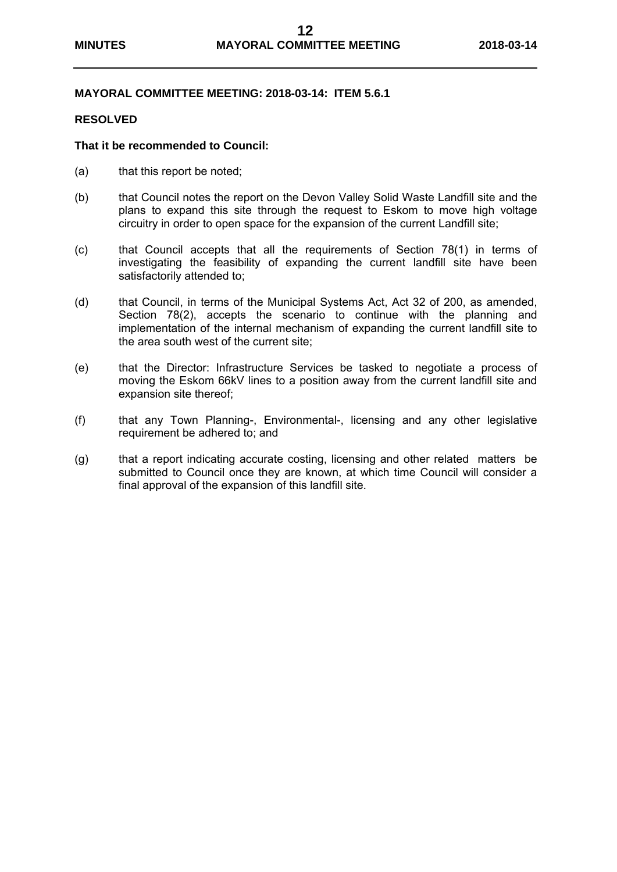### **MAYORAL COMMITTEE MEETING: 2018-03-14: ITEM 5.6.1**

#### **RESOLVED**

- (a) that this report be noted;
- (b) that Council notes the report on the Devon Valley Solid Waste Landfill site and the plans to expand this site through the request to Eskom to move high voltage circuitry in order to open space for the expansion of the current Landfill site;
- (c) that Council accepts that all the requirements of Section 78(1) in terms of investigating the feasibility of expanding the current landfill site have been satisfactorily attended to;
- (d) that Council, in terms of the Municipal Systems Act, Act 32 of 200, as amended, Section 78(2), accepts the scenario to continue with the planning and implementation of the internal mechanism of expanding the current landfill site to the area south west of the current site;
- (e) that the Director: Infrastructure Services be tasked to negotiate a process of moving the Eskom 66kV lines to a position away from the current landfill site and expansion site thereof;
- (f) that any Town Planning-, Environmental-, licensing and any other legislative requirement be adhered to; and
- (g) that a report indicating accurate costing, licensing and other related matters be submitted to Council once they are known, at which time Council will consider a final approval of the expansion of this landfill site.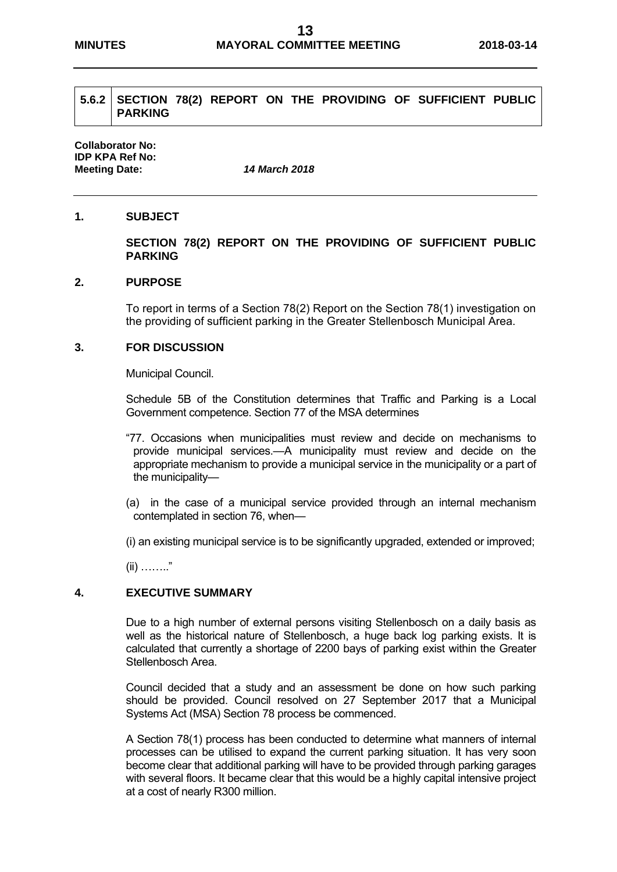# **5.6.2 SECTION 78(2) REPORT ON THE PROVIDING OF SUFFICIENT PUBLIC PARKING**

**Collaborator No: IDP KPA Ref No: Meeting Date:** *14 March 2018*

# **1. SUBJECT**

### **SECTION 78(2) REPORT ON THE PROVIDING OF SUFFICIENT PUBLIC PARKING**

# **2. PURPOSE**

To report in terms of a Section 78(2) Report on the Section 78(1) investigation on the providing of sufficient parking in the Greater Stellenbosch Municipal Area.

# **3. FOR DISCUSSION**

Municipal Council.

Schedule 5B of the Constitution determines that Traffic and Parking is a Local Government competence. Section 77 of the MSA determines

- "77. Occasions when municipalities must review and decide on mechanisms to provide municipal services.—A municipality must review and decide on the appropriate mechanism to provide a municipal service in the municipality or a part of the municipality—
- (a) in the case of a municipal service provided through an internal mechanism contemplated in section 76, when—

(i) an existing municipal service is to be significantly upgraded, extended or improved;

(ii) …….."

#### **4. EXECUTIVE SUMMARY**

Due to a high number of external persons visiting Stellenbosch on a daily basis as well as the historical nature of Stellenbosch, a huge back log parking exists. It is calculated that currently a shortage of 2200 bays of parking exist within the Greater Stellenbosch Area.

Council decided that a study and an assessment be done on how such parking should be provided. Council resolved on 27 September 2017 that a Municipal Systems Act (MSA) Section 78 process be commenced.

A Section 78(1) process has been conducted to determine what manners of internal processes can be utilised to expand the current parking situation. It has very soon become clear that additional parking will have to be provided through parking garages with several floors. It became clear that this would be a highly capital intensive project at a cost of nearly R300 million.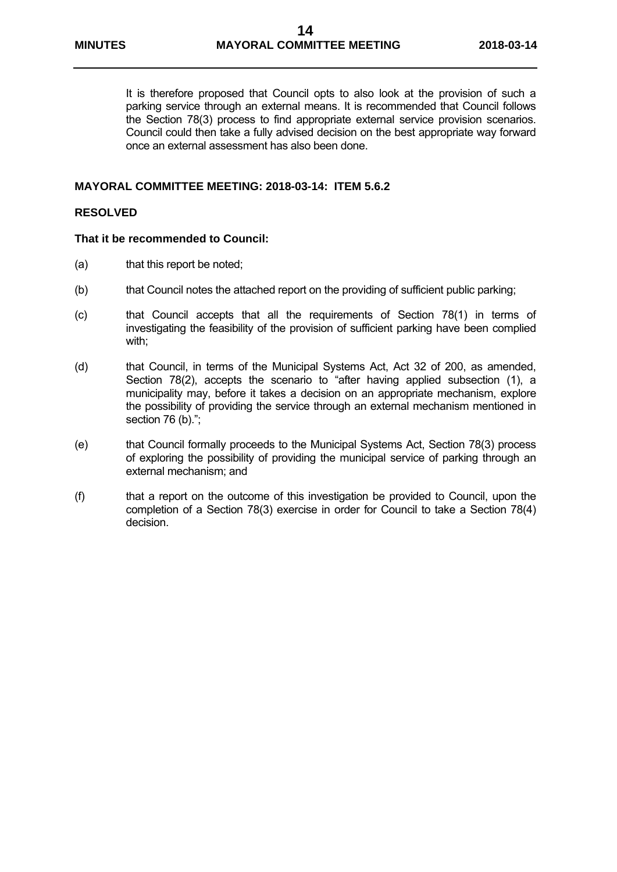It is therefore proposed that Council opts to also look at the provision of such a parking service through an external means. It is recommended that Council follows the Section 78(3) process to find appropriate external service provision scenarios. Council could then take a fully advised decision on the best appropriate way forward once an external assessment has also been done.

### **MAYORAL COMMITTEE MEETING: 2018-03-14: ITEM 5.6.2**

### **RESOLVED**

- (a) that this report be noted;
- (b) that Council notes the attached report on the providing of sufficient public parking;
- (c) that Council accepts that all the requirements of Section 78(1) in terms of investigating the feasibility of the provision of sufficient parking have been complied with;
- (d) that Council, in terms of the Municipal Systems Act, Act 32 of 200, as amended, Section 78(2), accepts the scenario to "after having applied subsection (1), a municipality may, before it takes a decision on an appropriate mechanism, explore the possibility of providing the service through an external mechanism mentioned in section 76 (b).";
- (e) that Council formally proceeds to the Municipal Systems Act, Section 78(3) process of exploring the possibility of providing the municipal service of parking through an external mechanism; and
- (f) that a report on the outcome of this investigation be provided to Council, upon the completion of a Section 78(3) exercise in order for Council to take a Section 78(4) decision.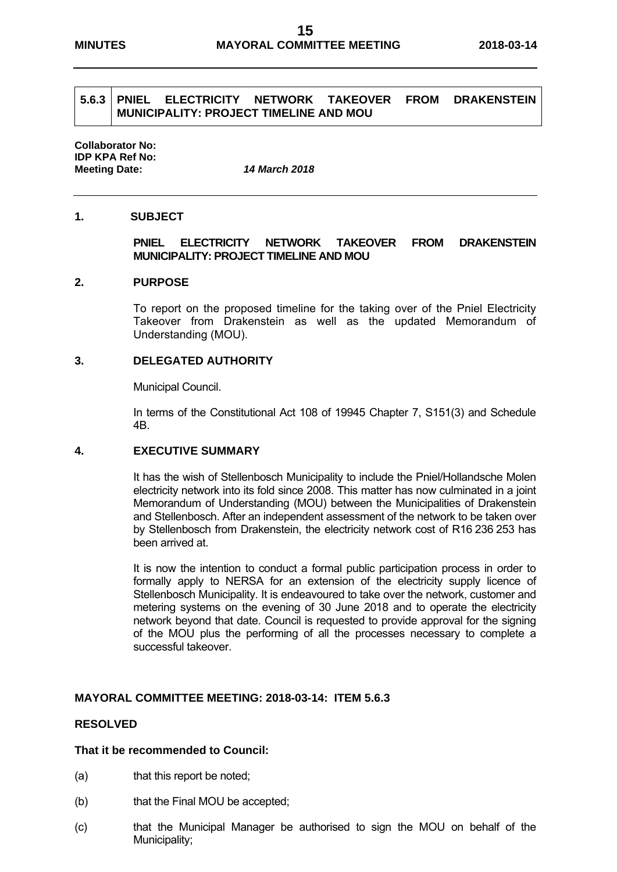# **5.6.3 PNIEL ELECTRICITY NETWORK TAKEOVER FROM DRAKENSTEIN MUNICIPALITY: PROJECT TIMELINE AND MOU**

**Collaborator No: IDP KPA Ref No: Meeting Date:** *14 March 2018*

# **1. SUBJECT**

### **PNIEL ELECTRICITY NETWORK TAKEOVER FROM DRAKENSTEIN MUNICIPALITY: PROJECT TIMELINE AND MOU**

#### **2. PURPOSE**

To report on the proposed timeline for the taking over of the Pniel Electricity Takeover from Drakenstein as well as the updated Memorandum of Understanding (MOU).

#### **3. DELEGATED AUTHORITY**

Municipal Council.

In terms of the Constitutional Act 108 of 19945 Chapter 7, S151(3) and Schedule 4B.

#### **4. EXECUTIVE SUMMARY**

It has the wish of Stellenbosch Municipality to include the Pniel/Hollandsche Molen electricity network into its fold since 2008. This matter has now culminated in a joint Memorandum of Understanding (MOU) between the Municipalities of Drakenstein and Stellenbosch. After an independent assessment of the network to be taken over by Stellenbosch from Drakenstein, the electricity network cost of R16 236 253 has been arrived at.

It is now the intention to conduct a formal public participation process in order to formally apply to NERSA for an extension of the electricity supply licence of Stellenbosch Municipality. It is endeavoured to take over the network, customer and metering systems on the evening of 30 June 2018 and to operate the electricity network beyond that date. Council is requested to provide approval for the signing of the MOU plus the performing of all the processes necessary to complete a successful takeover.

#### **MAYORAL COMMITTEE MEETING: 2018-03-14: ITEM 5.6.3**

#### **RESOLVED**

- (a) that this report be noted;
- (b) that the Final MOU be accepted;
- (c) that the Municipal Manager be authorised to sign the MOU on behalf of the Municipality;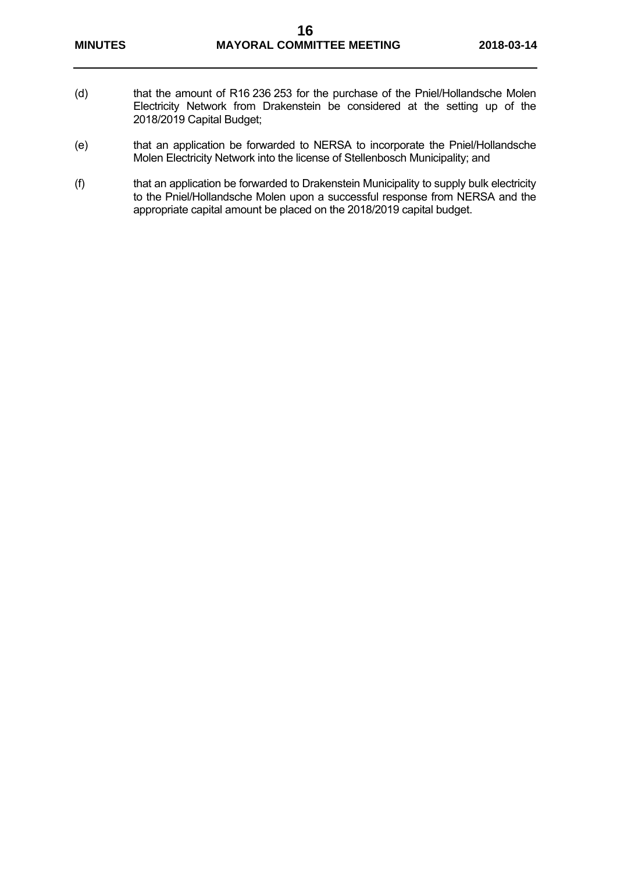- (d) that the amount of R16 236 253 for the purchase of the Pniel/Hollandsche Molen Electricity Network from Drakenstein be considered at the setting up of the 2018/2019 Capital Budget;
- (e) that an application be forwarded to NERSA to incorporate the Pniel/Hollandsche Molen Electricity Network into the license of Stellenbosch Municipality; and
- (f) that an application be forwarded to Drakenstein Municipality to supply bulk electricity to the Pniel/Hollandsche Molen upon a successful response from NERSA and the appropriate capital amount be placed on the 2018/2019 capital budget.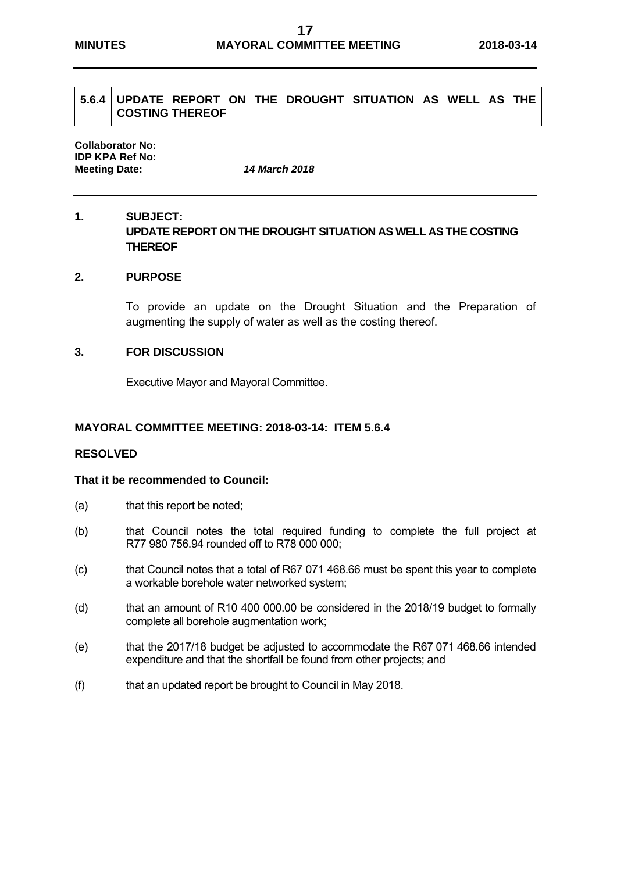# **5.6.4 UPDATE REPORT ON THE DROUGHT SITUATION AS WELL AS THE COSTING THEREOF**

**Collaborator No: IDP KPA Ref No: Meeting Date:** *14 March 2018*

# **1. SUBJECT: UPDATE REPORT ON THE DROUGHT SITUATION AS WELL AS THE COSTING THEREOF**

#### **2. PURPOSE**

To provide an update on the Drought Situation and the Preparation of augmenting the supply of water as well as the costing thereof.

#### **3. FOR DISCUSSION**

Executive Mayor and Mayoral Committee.

#### **MAYORAL COMMITTEE MEETING: 2018-03-14: ITEM 5.6.4**

### **RESOLVED**

- (a) that this report be noted;
- (b) that Council notes the total required funding to complete the full project at R77 980 756.94 rounded off to R78 000 000;
- (c) that Council notes that a total of R67 071 468.66 must be spent this year to complete a workable borehole water networked system;
- (d) that an amount of R10 400 000.00 be considered in the 2018/19 budget to formally complete all borehole augmentation work;
- (e) that the 2017/18 budget be adjusted to accommodate the R67 071 468.66 intended expenditure and that the shortfall be found from other projects; and
- (f) that an updated report be brought to Council in May 2018.